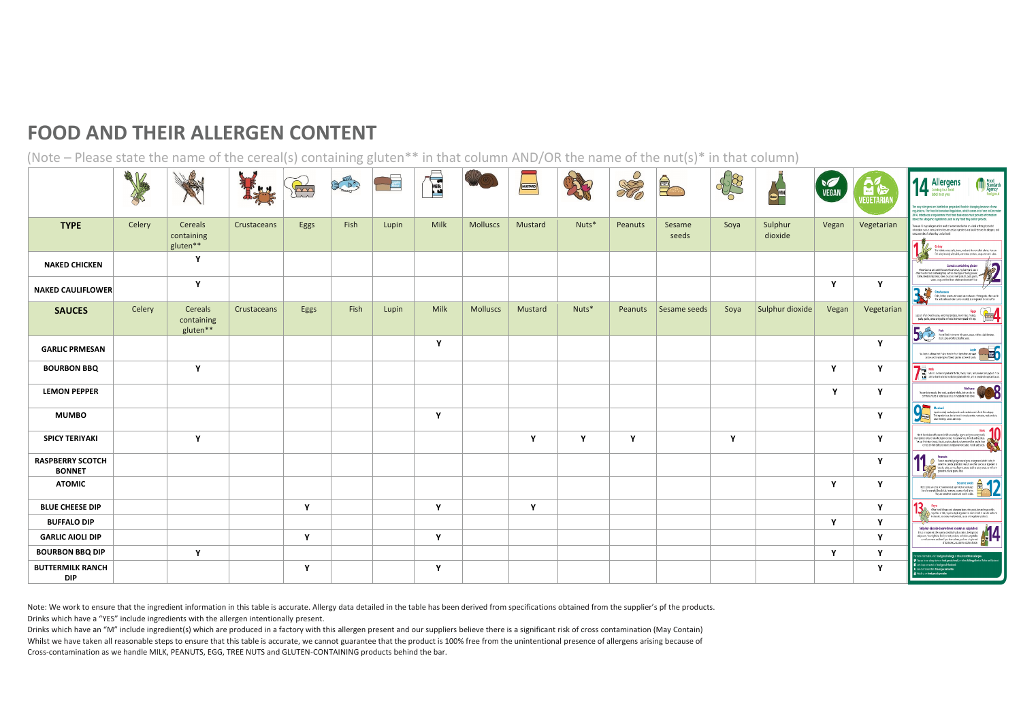## **FOOD AND THEIR ALLERGEN CONTENT**

(Note – Please state the name of the cereal(s) containing gluten\*\* in that column AND/OR the name of the nut(s)\* in that column)

|                                          | 3 M<br>1 |                                   |             | BOO  | COLLEGE PRO | <b>upin</b><br>Flour | <b>ASSESS</b> |                 | MUSTARD      |       | SO      |                 | \$2  | Beer<br>Beer       | <b>VEGAN</b> | 日后<br><b>IEGETARIA</b> | Allergens<br><b>THE Food</b><br>Standards<br>Agency<br>Coming to a food<br>food.gov.uk<br>label near you<br>he way allergens are labelled on prepacked foods is changing because of new<br>egulations. The Food Information Regulation, which comes into force in December<br>2014, introduces a requirement that food businesses must provide information                                                                                       |
|------------------------------------------|----------|-----------------------------------|-------------|------|-------------|----------------------|---------------|-----------------|--------------|-------|---------|-----------------|------|--------------------|--------------|------------------------|--------------------------------------------------------------------------------------------------------------------------------------------------------------------------------------------------------------------------------------------------------------------------------------------------------------------------------------------------------------------------------------------------------------------------------------------------|
| <b>TYPE</b>                              | Celery   | Cereals<br>containing<br>gluten** | Crustaceans | Eggs | Fish        | Lupin                | Milk          | <b>Molluscs</b> | Mustard      | Nuts* | Peanuts | Sesame<br>seeds | Soya | Sulphur<br>dioxide | Vegan        | Vegetarian             | about the allergenic ingredients used in any food they sell or provide.<br>here are 14 major allergens which need to be mentioned (either on a label or through provided<br>formation such as merus) when they are used as ingredients in a lood. Here are the allergens, and<br>cross archive of where they can be found:<br>$\mathscr{V}$<br>Celery<br>This indudes celevastabs, jeaves seeks and the moticalled celerias. You can             |
| <b>NAKED CHICKEN</b>                     |          | Y                                 |             |      |             |                      |               |                 |              |       |         |                 |      |                    |              |                        | Indicelery in celery salt, salids, some meat products, soups and stock cubes.<br>2<br><b>Coreals containing gluten</b><br>Wheat (such as spot and Khorasan wheat Kamut), rye, bariey and cats is<br>often fourth in foods containing flour, such as some types of baking poucles,<br>batter, beadmirely, bread, cakes, councies, meat products, para, party,                                                                                     |
| <b>NAKED CAULIFLOWER</b>                 |          | Y                                 |             |      |             |                      |               |                 |              |       |         |                 |      |                    | $\mathbf{v}$ | $\mathbf{Y}$           | sauces, soups and fred foods which are clusted with flour.<br>3.#<br><b>Crustaceans</b><br>Crabs, lobster, prayers and scenpi are crustaceans. Shrings pade, often used in<br>Tha and south-eat Asian curries or salads, is an ingredient to look out for.                                                                                                                                                                                       |
| <b>SAUCES</b>                            | Celery   | Cereals<br>containing<br>gluten** | Crustaceans | Eggs | Fish        | Lupin                | Milk          | <b>Molluscs</b> | Mustard      | Nuts* | Peanuts | Sesame seeds    | Soya | Sulphur dioxide    | Vegan        | Vegetarian             | $\begin{array}{c c c c} \hline \textbf{Step 1:} & \textbf{Eqs} & \textbf{Eqs} \\ \hline \textbf{Step 2:} & \textbf{Step 3:} & \textbf{Step 4:} \\ \hline \textbf{Step 4:} & \textbf{Step 5:} & \textbf{Step 6:} \\ \hline \textbf{Step 5:} & \textbf{Step 6:} & \textbf{Step 7:} \\ \hline \textbf{Step 6:} & \textbf{Step 7:} & \textbf{Step 8:} \\ \hline \textbf{Step 7:} & \textbf{Step 8:} & \textbf{Step 9:} \\ \hline \textbf{Step 9:} &$ |
| <b>GARLIC PRMESAN</b>                    |          |                                   |             |      |             |                      | Y             |                 |              |       |         |                 |      |                    |              | Y                      | Fish<br>The string of this same labours, size, slabs, slab decamp,<br>strict close and Watersteinly, such<br>that close and Watersteinly, such                                                                                                                                                                                                                                                                                                   |
| <b>BOURBON BBQ</b>                       |          | Y                                 |             |      |             |                      |               |                 |              |       |         |                 |      |                    | v            | Y                      | <b>Wilk</b><br>Mik Ba composition in https://www.cran.inik.co.wiecard.popurt.t.can<br>also be bourd in foodsonsted or played with mik, and in powdered rough and source.                                                                                                                                                                                                                                                                         |
| <b>LEMON PEPPER</b>                      |          |                                   |             |      |             |                      |               |                 |              |       |         |                 |      |                    | v            | $\mathbf{Y}$           | Melliuses<br>These industries and small, squid and whele, but can also be<br>commonly found in option saves or as an ingredient in this show                                                                                                                                                                                                                                                                                                     |
| <b>MUMBO</b>                             |          |                                   |             |      |             |                      | Y             |                 |              |       |         |                 |      |                    |              | Y                      | Mustard<br>Mustard<br>Mustard<br>The reprocent<br>stab desings,<br>Liquid mustard, mustard powder and mustard seeds fall into this category.<br>This ingredient can also be found in breads, curries, marinades, meet preducts,<br>salad drastings, sauces and soups.                                                                                                                                                                            |
| <b>SPICY TERIYAKI</b>                    |          | Y                                 |             |      |             |                      |               |                 | $\mathbf{Y}$ | Y     | Y       |                 | Y    |                    |              | $\mathbf{Y}$           | Nuts <b>40</b><br>Not to be mission with passure (which are actually a legarie and grow underground).<br>It's ingredient releas to multivitied grow on trees, like carbon rots, shrowids indiffused us.<br>You can find ruts in broads, biscuits, crac<br>curries), stir fried clafres, ice cream, marzipan (almond paste), net oils and sauces.                                                                                                 |
| <b>RASPBERRY SCOTCH</b><br><b>BONNET</b> |          |                                   |             |      |             |                      |               |                 |              |       |         |                 |      |                    |              | Y                      | Peanuts<br>Peace of Nanch State State and the state of the State State State State State State State State State State State State State State State State State State State State State State State State State State State State State<br>groundrist of and psyriot flour.<br>-90                                                                                                                                                              |
| <b>ATOMIC</b>                            |          |                                   |             |      |             |                      |               |                 |              |       |         |                 |      |                    | $\mathbf{v}$ | $\mathbf{Y}$           | <u>12</u><br>Sexame seeds<br>these seek can chen be found in bead spirited on hardwayer<br>but since sample, breathed, rounder, sexame of and with<br>the securitative tracted and used in schok                                                                                                                                                                                                                                                 |
| <b>BLUE CHEESE DIP</b>                   |          |                                   |             | Y    |             |                      | Y             |                 | Y            |       |         |                 |      |                    |              | Y                      | $\begin{array}{ c c } \hline \rule{0pt}{2ex} \rule{0pt}{2ex} \rule{0pt}{2ex} \rule{0pt}{2ex} \rule{0pt}{2ex} \rule{0pt}{2ex} \rule{0pt}{2ex} \rule{0pt}{2ex} \rule{0pt}{2ex} \rule{0pt}{2ex} \rule{0pt}{2ex} \rule{0pt}{2ex} \rule{0pt}{2ex} \rule{0pt}{2ex} \rule{0pt}{2ex} \rule{0pt}{2ex} \rule{0pt}{2ex} \rule{0pt}{2ex} \rule{0pt}{2ex} \rule{0pt}{2ex} \rule{0pt}{2ex} \rule{0pt}{2ex} \rule{0pt}{2ex$                                     |
| <b>BUFFALO DIP</b>                       |          |                                   |             |      |             |                      |               |                 |              |       |         |                 |      |                    | $\mathbf{v}$ | Y                      |                                                                                                                                                                                                                                                                                                                                                                                                                                                  |
| <b>GARLIC AIOLI DIP</b>                  |          |                                   |             | Y    |             |                      | Y             |                 |              |       |         |                 |      |                    |              | <b>V</b>               | Sulphur dioxide (sometimes known as sulphites)<br>This is imposed the used of estimated as said, and profits<br>and protest the used as for the used as said, as shaped the<br>angle is a subject to the same of the same of the sa                                                                                                                                                                                                              |
| <b>BOURBON BBQ DIP</b>                   |          | Υ                                 |             |      |             |                      |               |                 |              |       |         |                 |      |                    | <b>V</b>     | Υ                      | nos information, visit: food.gov.uk/allergy or rihs.uk/conditions/allergies<br>P Sign up to cur alongy alons on food gowuk/email, or follow #AllengyAlent on Tolthar and Fac                                                                                                                                                                                                                                                                     |
| <b>BUTTERMILK RANCH</b><br><b>DIP</b>    |          |                                   |             | Y    |             |                      | Y             |                 |              |       |         |                 |      |                    |              | Y                      | E Let's keep connected at froid gow.ak/facebook<br>bin cur conversition @food.gov.uk/twitter<br>ich us on food, gov.uk/youtube                                                                                                                                                                                                                                                                                                                   |

Note: We work to ensure that the ingredient information in this table is accurate. Allergy data detailed in the table has been derived from specifications obtained from the supplier's pf the products. Drinks which have a "YES" include ingredients with the allergen intentionally present.

Drinks which have an "M" include ingredient(s) which are produced in a factory with this allergen present and our suppliers believe there is a significant risk of cross contamination (May Contain) Whilst we have taken all reasonable steps to ensure that this table is accurate, we cannot guarantee that the product is 100% free from the unintentional presence of allergens arising because of Cross-contamination as we handle MILK, PEANUTS, EGG, TREE NUTS and GLUTEN-CONTAINING products behind the bar.